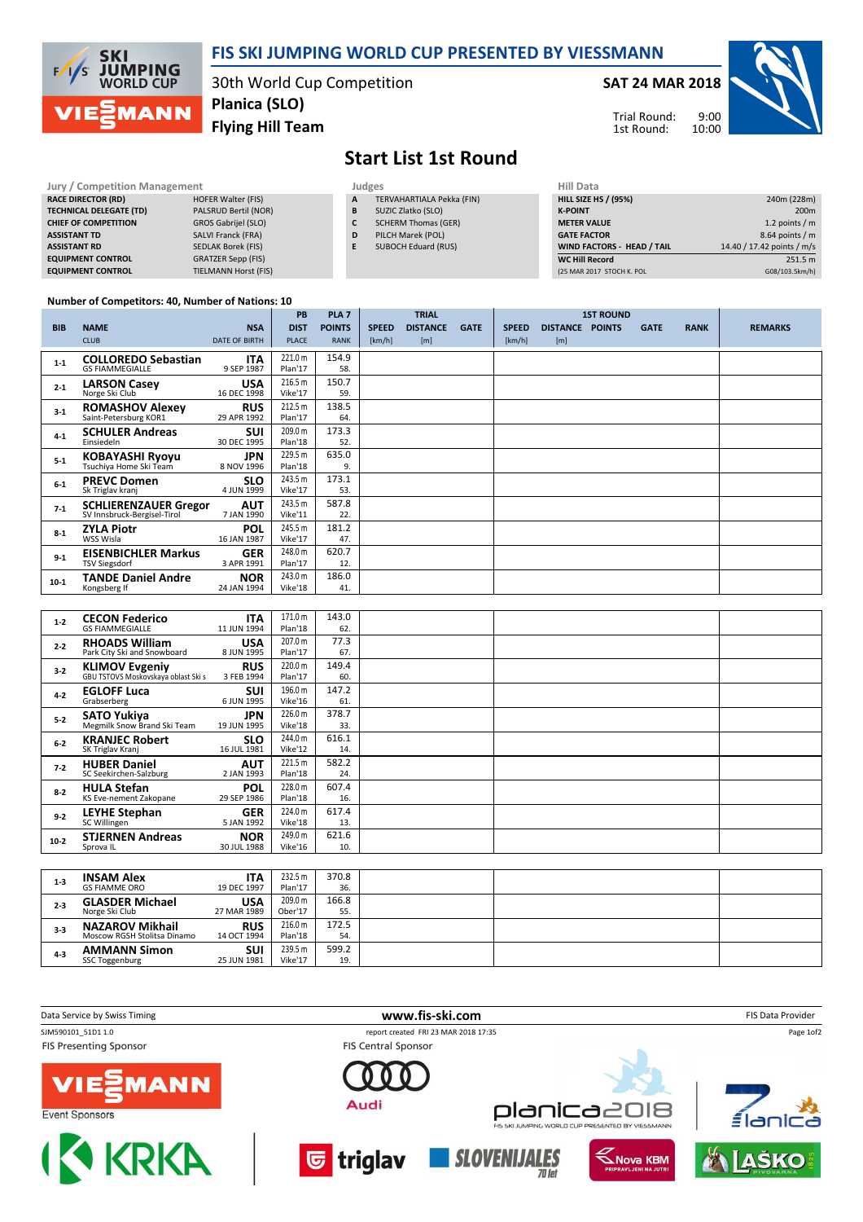

## FIS SKI JUMPING WORLD CUP PRESENTED BY VIESSMANN

30th World Cup Competition Flying Hill Team Planica (SLO)

SAT 24 MAR 2018



Trial Round: 1st Round:

## Start List 1st Round

| Jury / Competition Management  |                            | Judges | <b>Hill Data</b>           |                    |
|--------------------------------|----------------------------|--------|----------------------------|--------------------|
| <b>RACE DIRECTOR (RD)</b>      | <b>HOFER Walter (FIS)</b>  | A      | TERVAHARTIALA Pekka (FIN)  | <b>HILL SIZE H</b> |
| <b>TECHNICAL DELEGATE (TD)</b> | PALSRUD Bertil (NOR)       | B      | SUZIC Zlatko (SLO)         | <b>K-POINT</b>     |
| <b>CHIEF OF COMPETITION</b>    | <b>GROS Gabrijel (SLO)</b> | c      | <b>SCHERM Thomas (GER)</b> | <b>METER VAI</b>   |
| <b>ASSISTANT TD</b>            | <b>SALVI Franck (FRA)</b>  | D      | PILCH Marek (POL)          | <b>GATE FACT</b>   |
| <b>ASSISTANT RD</b>            | <b>SEDLAK Borek (FIS)</b>  | Е      | <b>SUBOCH Eduard (RUS)</b> | <b>WIND FACT</b>   |
| <b>EQUIPMENT CONTROL</b>       | <b>GRATZER Sepp (FIS)</b>  |        |                            | <b>WC Hill Red</b> |
| <b>EQUIPMENT CONTROL</b>       | TIELMANN Horst (FIS)       |        |                            | (25 MAR 201)       |

| Judges       |                           |
|--------------|---------------------------|
| $\mathbf{A}$ | TERVAHARTIALA Pekka (FIN) |

- B SUZIC Zlatko (SLO)
- C SCHERM Thomas (GER)
- D PILCH Marek (POL)
- E SUBOCH Eduard (RUS)

| niil Data                         |                            |
|-----------------------------------|----------------------------|
| <b>HILL SIZE HS / (95%)</b>       | 240m (228m)                |
| <b>K-POINT</b>                    | 200 <sub>m</sub>           |
| <b>METER VALUE</b>                | 1.2 points $/m$            |
| <b>GATE FACTOR</b>                | 8.64 points / m            |
| <b>WIND FACTORS - HEAD / TAIL</b> | 14.40 / 17.42 points / m/s |
| <b>WC Hill Record</b>             | 251.5 m                    |
| (25 MAR 2017 STOCH K. POL         | G08/103.5km/h)             |

## Number of Competitors: 40, Number of Nations: 10

|            |                                                             |                           | <b>PB</b>          | PLA <sub>7</sub> |              | <b>TRIAL</b>    |             |              |                 | <b>1ST ROUND</b> |             |             |                |
|------------|-------------------------------------------------------------|---------------------------|--------------------|------------------|--------------|-----------------|-------------|--------------|-----------------|------------------|-------------|-------------|----------------|
| <b>BIB</b> | <b>NAME</b>                                                 | <b>NSA</b>                | <b>DIST</b>        | <b>POINTS</b>    | <b>SPEED</b> | <b>DISTANCE</b> | <b>GATE</b> | <b>SPEED</b> | <b>DISTANCE</b> | <b>POINTS</b>    | <b>GATE</b> | <b>RANK</b> | <b>REMARKS</b> |
|            | <b>CLUB</b>                                                 | <b>DATE OF BIRTH</b>      | <b>PLACE</b>       | <b>RANK</b>      | [km/h]       | [m]             |             | [km/h]       | [m]             |                  |             |             |                |
| $1 - 1$    | <b>COLLOREDO Sebastian</b><br><b>GS FIAMMEGIALLE</b>        | <b>ITA</b><br>9 SEP 1987  | 221.0 m<br>Plan'17 | 154.9<br>58.     |              |                 |             |              |                 |                  |             |             |                |
| $2 - 1$    | <b>LARSON Casey</b><br>Norge Ski Club                       | <b>USA</b><br>16 DEC 1998 | 216.5 m<br>Vike'17 | 150.7<br>59.     |              |                 |             |              |                 |                  |             |             |                |
| $3-1$      | <b>ROMASHOV Alexey</b><br>Saint-Petersburg KOR1             | <b>RUS</b><br>29 APR 1992 | 212.5 m<br>Plan'17 | 138.5<br>64.     |              |                 |             |              |                 |                  |             |             |                |
| $4 - 1$    | <b>SCHULER Andreas</b><br>Einsiedeln                        | SUI<br>30 DEC 1995        | 209.0 m<br>Plan'18 | 173.3<br>52.     |              |                 |             |              |                 |                  |             |             |                |
| $5-1$      | <b>KOBAYASHI Ryoyu</b><br>Tsuchiya Home Ski Team            | <b>JPN</b><br>8 NOV 1996  | 229.5 m<br>Plan'18 | 635.0<br>9.      |              |                 |             |              |                 |                  |             |             |                |
| $6 - 1$    | <b>PREVC Domen</b><br>Sk Triglav kranj                      | <b>SLO</b><br>4 JUN 1999  | 243.5 m<br>Vike'17 | 173.1<br>53.     |              |                 |             |              |                 |                  |             |             |                |
| $7-1$      | <b>SCHLIERENZAUER Gregor</b><br>SV Innsbruck-Bergisel-Tirol | <b>AUT</b><br>7 JAN 1990  | 243.5 m<br>Vike'11 | 587.8<br>22.     |              |                 |             |              |                 |                  |             |             |                |
| $8-1$      | <b>ZYLA Piotr</b><br>WSS Wisla                              | <b>POL</b><br>16 JAN 1987 | 245.5 m<br>Vike'17 | 181.2<br>47.     |              |                 |             |              |                 |                  |             |             |                |
| $9-1$      | <b>EISENBICHLER Markus</b><br><b>TSV Siegsdorf</b>          | <b>GER</b><br>3 APR 1991  | 248.0 m<br>Plan'17 | 620.7<br>12.     |              |                 |             |              |                 |                  |             |             |                |
| $10-1$     | <b>TANDE Daniel Andre</b><br>Kongsberg If                   | <b>NOR</b><br>24 JAN 1994 | 243.0 m<br>Vike'18 | 186.0<br>41.     |              |                 |             |              |                 |                  |             |             |                |

| $1 - 2$ | <b>CECON Federico</b><br><b>GS FIAMMEGIALLE</b>              | <b>ITA</b><br>11 JUN 1994 | 171.0 m<br>Plan'18 | 143.0<br>62. |  |  |
|---------|--------------------------------------------------------------|---------------------------|--------------------|--------------|--|--|
| $2 - 2$ | <b>RHOADS William</b><br>Park City Ski and Snowboard         | <b>USA</b><br>8 JUN 1995  | 207.0 m<br>Plan'17 | 77.3<br>67.  |  |  |
| $3 - 2$ | <b>KLIMOV Evgeniy</b><br>GBU TSTOVS Moskovskaya oblast Ski s | <b>RUS</b><br>3 FEB 1994  | 220.0 m<br>Plan'17 | 149.4<br>60. |  |  |
| $4 - 2$ | <b>EGLOFF Luca</b><br>Grabserberg                            | <b>SUI</b><br>6 JUN 1995  | 196.0 m<br>Vike'16 | 147.2<br>61. |  |  |
| $5 - 2$ | SATO Yukiya<br>Megmilk Snow Brand Ski Team                   | <b>JPN</b><br>19 JUN 1995 | 226.0 m<br>Vike'18 | 378.7<br>33. |  |  |
| $6-2$   | <b>KRANJEC Robert</b><br>SK Triglav Kranj                    | <b>SLO</b><br>16 JUL 1981 | 244.0 m<br>Vike'12 | 616.1<br>14. |  |  |
| $7 - 2$ | <b>HUBER Daniel</b><br>SC Seekirchen-Salzburg                | <b>AUT</b><br>2 JAN 1993  | 221.5 m<br>Plan'18 | 582.2<br>24. |  |  |
| $8 - 2$ | <b>HULA Stefan</b><br>KS Eve-nement Zakopane                 | <b>POL</b><br>29 SEP 1986 | 228.0 m<br>Plan'18 | 607.4<br>16. |  |  |
| $9-2$   | <b>LEYHE Stephan</b><br>SC Willingen                         | <b>GER</b><br>5 JAN 1992  | 224.0 m<br>Vike'18 | 617.4<br>13. |  |  |
| $10-2$  | <b>STJERNEN Andreas</b><br>Sprova IL                         | <b>NOR</b><br>30 JUL 1988 | 249.0 m<br>Vike'16 | 621.6<br>10. |  |  |
|         |                                                              |                           |                    |              |  |  |
| $1 - 3$ | <b>INSAM Alex</b>                                            | ITA                       | 232.5 m            | 370.8        |  |  |

| $1 - 3$ | <b>INSAM Alex</b><br><b>GS FIAMME ORO</b>             | ITA<br>19 DEC 1997        | 232.5 m<br>Plan'17 | 370.8<br>36. |  |  |
|---------|-------------------------------------------------------|---------------------------|--------------------|--------------|--|--|
| $2 - 3$ | <b>GLASDER Michael</b><br>Norge Ski Club              | USA<br>27 MAR 1989        | 209.0 m<br>Ober'17 | 166.8<br>55. |  |  |
| $3-3$   | <b>NAZAROV Mikhail</b><br>Moscow RGSH Stolitsa Dinamo | <b>RUS</b><br>14 OCT 1994 | 216.0 m<br>Plan'18 | 172.5<br>54. |  |  |
| $4 - 3$ | <b>AMMANN Simon</b><br>SSC Toggenburg                 | SUI<br>25 JUN 1981        | 239.5 m<br>Vike'17 | 599.2<br>19. |  |  |